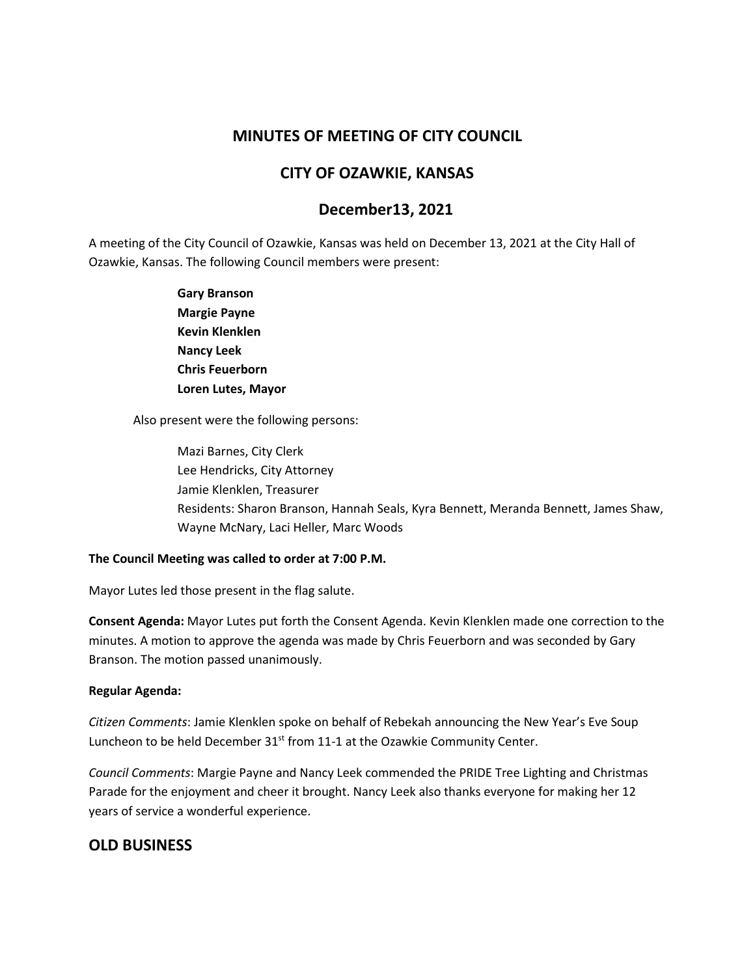# **MINUTES OF MEETING OF CITY COUNCIL**

## **CITY OF OZAWKIE, KANSAS**

# **December13, 2021**

A meeting of the City Council of Ozawkie, Kansas was held on December 13, 2021 at the City Hall of Ozawkie, Kansas. The following Council members were present:

> **Gary Branson Margie Payne Kevin Klenklen Nancy Leek Chris Feuerborn Loren Lutes, Mayor**

Also present were the following persons:

Mazi Barnes, City Clerk Lee Hendricks, City Attorney Jamie Klenklen, Treasurer Residents: Sharon Branson, Hannah Seals, Kyra Bennett, Meranda Bennett, James Shaw, Wayne McNary, Laci Heller, Marc Woods

#### **The Council Meeting was called to order at 7:00 P.M.**

Mayor Lutes led those present in the flag salute.

**Consent Agenda:** Mayor Lutes put forth the Consent Agenda. Kevin Klenklen made one correction to the minutes. A motion to approve the agenda was made by Chris Feuerborn and was seconded by Gary Branson. The motion passed unanimously.

#### **Regular Agenda:**

*Citizen Comments*: Jamie Klenklen spoke on behalf of Rebekah announcing the New Year's Eve Soup Luncheon to be held December  $31^{st}$  from 11-1 at the Ozawkie Community Center.

*Council Comments*: Margie Payne and Nancy Leek commended the PRIDE Tree Lighting and Christmas Parade for the enjoyment and cheer it brought. Nancy Leek also thanks everyone for making her 12 years of service a wonderful experience.

## **OLD BUSINESS**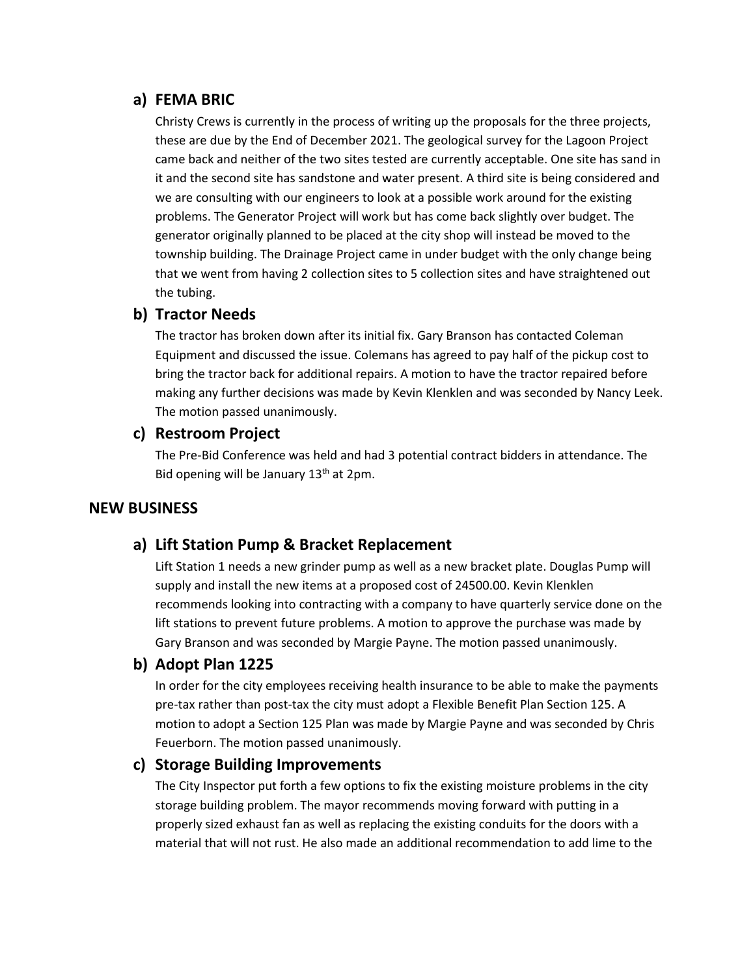## **a) FEMA BRIC**

Christy Crews is currently in the process of writing up the proposals for the three projects, these are due by the End of December 2021. The geological survey for the Lagoon Project came back and neither of the two sites tested are currently acceptable. One site has sand in it and the second site has sandstone and water present. A third site is being considered and we are consulting with our engineers to look at a possible work around for the existing problems. The Generator Project will work but has come back slightly over budget. The generator originally planned to be placed at the city shop will instead be moved to the township building. The Drainage Project came in under budget with the only change being that we went from having 2 collection sites to 5 collection sites and have straightened out the tubing.

#### **b) Tractor Needs**

The tractor has broken down after its initial fix. Gary Branson has contacted Coleman Equipment and discussed the issue. Colemans has agreed to pay half of the pickup cost to bring the tractor back for additional repairs. A motion to have the tractor repaired before making any further decisions was made by Kevin Klenklen and was seconded by Nancy Leek. The motion passed unanimously.

## **c) Restroom Project**

The Pre-Bid Conference was held and had 3 potential contract bidders in attendance. The Bid opening will be January 13<sup>th</sup> at 2pm.

#### **NEW BUSINESS**

#### **a) Lift Station Pump & Bracket Replacement**

Lift Station 1 needs a new grinder pump as well as a new bracket plate. Douglas Pump will supply and install the new items at a proposed cost of 24500.00. Kevin Klenklen recommends looking into contracting with a company to have quarterly service done on the lift stations to prevent future problems. A motion to approve the purchase was made by Gary Branson and was seconded by Margie Payne. The motion passed unanimously.

#### **b) Adopt Plan 1225**

In order for the city employees receiving health insurance to be able to make the payments pre-tax rather than post-tax the city must adopt a Flexible Benefit Plan Section 125. A motion to adopt a Section 125 Plan was made by Margie Payne and was seconded by Chris Feuerborn. The motion passed unanimously.

#### **c) Storage Building Improvements**

The City Inspector put forth a few options to fix the existing moisture problems in the city storage building problem. The mayor recommends moving forward with putting in a properly sized exhaust fan as well as replacing the existing conduits for the doors with a material that will not rust. He also made an additional recommendation to add lime to the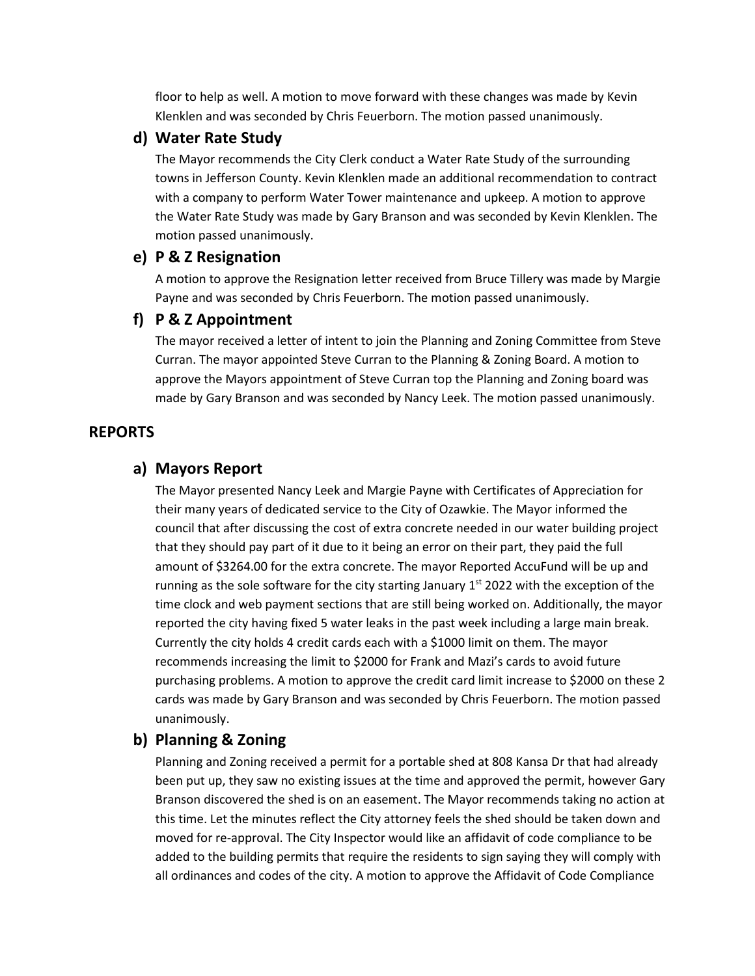floor to help as well. A motion to move forward with these changes was made by Kevin Klenklen and was seconded by Chris Feuerborn. The motion passed unanimously.

#### **d) Water Rate Study**

The Mayor recommends the City Clerk conduct a Water Rate Study of the surrounding towns in Jefferson County. Kevin Klenklen made an additional recommendation to contract with a company to perform Water Tower maintenance and upkeep. A motion to approve the Water Rate Study was made by Gary Branson and was seconded by Kevin Klenklen. The motion passed unanimously.

### **e) P & Z Resignation**

A motion to approve the Resignation letter received from Bruce Tillery was made by Margie Payne and was seconded by Chris Feuerborn. The motion passed unanimously.

#### **f) P & Z Appointment**

The mayor received a letter of intent to join the Planning and Zoning Committee from Steve Curran. The mayor appointed Steve Curran to the Planning & Zoning Board. A motion to approve the Mayors appointment of Steve Curran top the Planning and Zoning board was made by Gary Branson and was seconded by Nancy Leek. The motion passed unanimously.

#### **REPORTS**

#### **a) Mayors Report**

The Mayor presented Nancy Leek and Margie Payne with Certificates of Appreciation for their many years of dedicated service to the City of Ozawkie. The Mayor informed the council that after discussing the cost of extra concrete needed in our water building project that they should pay part of it due to it being an error on their part, they paid the full amount of \$3264.00 for the extra concrete. The mayor Reported AccuFund will be up and running as the sole software for the city starting January  $1<sup>st</sup>$  2022 with the exception of the time clock and web payment sections that are still being worked on. Additionally, the mayor reported the city having fixed 5 water leaks in the past week including a large main break. Currently the city holds 4 credit cards each with a \$1000 limit on them. The mayor recommends increasing the limit to \$2000 for Frank and Mazi's cards to avoid future purchasing problems. A motion to approve the credit card limit increase to \$2000 on these 2 cards was made by Gary Branson and was seconded by Chris Feuerborn. The motion passed unanimously.

## **b) Planning & Zoning**

Planning and Zoning received a permit for a portable shed at 808 Kansa Dr that had already been put up, they saw no existing issues at the time and approved the permit, however Gary Branson discovered the shed is on an easement. The Mayor recommends taking no action at this time. Let the minutes reflect the City attorney feels the shed should be taken down and moved for re-approval. The City Inspector would like an affidavit of code compliance to be added to the building permits that require the residents to sign saying they will comply with all ordinances and codes of the city. A motion to approve the Affidavit of Code Compliance